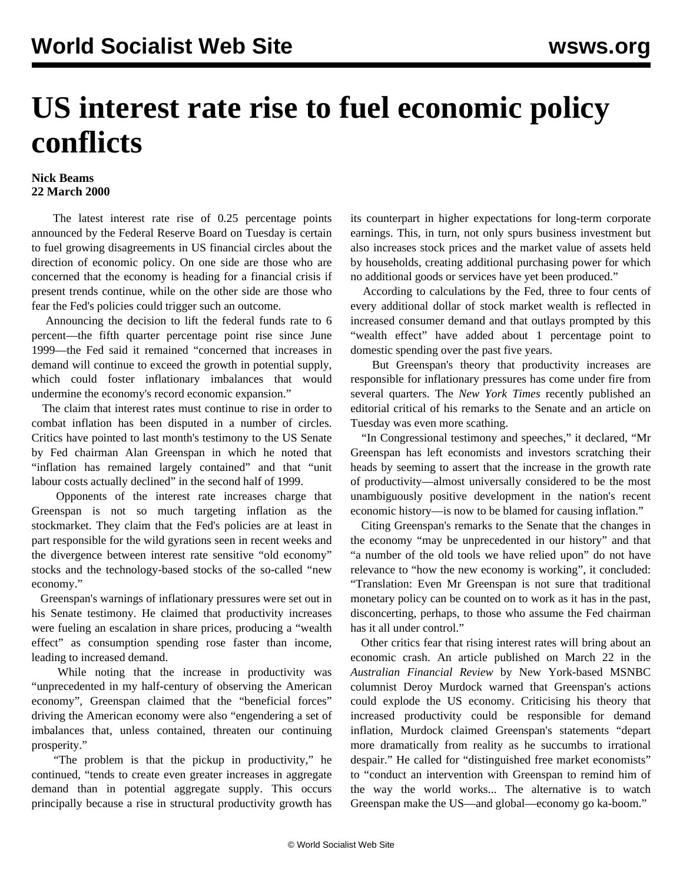## **US interest rate rise to fuel economic policy conflicts**

## **Nick Beams 22 March 2000**

 The latest interest rate rise of 0.25 percentage points announced by the Federal Reserve Board on Tuesday is certain to fuel growing disagreements in US financial circles about the direction of economic policy. On one side are those who are concerned that the economy is heading for a financial crisis if present trends continue, while on the other side are those who fear the Fed's policies could trigger such an outcome.

 Announcing the decision to lift the federal funds rate to 6 percent—the fifth quarter percentage point rise since June 1999—the Fed said it remained "concerned that increases in demand will continue to exceed the growth in potential supply, which could foster inflationary imbalances that would undermine the economy's record economic expansion."

 The claim that interest rates must continue to rise in order to combat inflation has been disputed in a number of circles. Critics have pointed to last month's testimony to the US Senate by Fed chairman Alan Greenspan in which he noted that "inflation has remained largely contained" and that "unit labour costs actually declined" in the second half of 1999.

 Opponents of the interest rate increases charge that Greenspan is not so much targeting inflation as the stockmarket. They claim that the Fed's policies are at least in part responsible for the wild gyrations seen in recent weeks and the divergence between interest rate sensitive "old economy" stocks and the technology-based stocks of the so-called "new economy."

 Greenspan's warnings of inflationary pressures were set out in his Senate testimony. He claimed that productivity increases were fueling an escalation in share prices, producing a "wealth effect" as consumption spending rose faster than income, leading to increased demand.

 While noting that the increase in productivity was "unprecedented in my half-century of observing the American economy", Greenspan claimed that the "beneficial forces" driving the American economy were also "engendering a set of imbalances that, unless contained, threaten our continuing prosperity."

 "The problem is that the pickup in productivity," he continued, "tends to create even greater increases in aggregate demand than in potential aggregate supply. This occurs principally because a rise in structural productivity growth has its counterpart in higher expectations for long-term corporate earnings. This, in turn, not only spurs business investment but also increases stock prices and the market value of assets held by households, creating additional purchasing power for which no additional goods or services have yet been produced."

 According to calculations by the Fed, three to four cents of every additional dollar of stock market wealth is reflected in increased consumer demand and that outlays prompted by this "wealth effect" have added about 1 percentage point to domestic spending over the past five years.

 But Greenspan's theory that productivity increases are responsible for inflationary pressures has come under fire from several quarters. The *New York Times* recently published an editorial critical of his remarks to the Senate and an article on Tuesday was even more scathing.

 "In Congressional testimony and speeches," it declared, "Mr Greenspan has left economists and investors scratching their heads by seeming to assert that the increase in the growth rate of productivity—almost universally considered to be the most unambiguously positive development in the nation's recent economic history—is now to be blamed for causing inflation."

 Citing Greenspan's remarks to the Senate that the changes in the economy "may be unprecedented in our history" and that "a number of the old tools we have relied upon" do not have relevance to "how the new economy is working", it concluded: "Translation: Even Mr Greenspan is not sure that traditional monetary policy can be counted on to work as it has in the past, disconcerting, perhaps, to those who assume the Fed chairman has it all under control."

 Other critics fear that rising interest rates will bring about an economic crash. An article published on March 22 in the *Australian Financial Review* by New York-based MSNBC columnist Deroy Murdock warned that Greenspan's actions could explode the US economy. Criticising his theory that increased productivity could be responsible for demand inflation, Murdock claimed Greenspan's statements "depart more dramatically from reality as he succumbs to irrational despair." He called for "distinguished free market economists" to "conduct an intervention with Greenspan to remind him of the way the world works... The alternative is to watch Greenspan make the US—and global—economy go ka-boom."